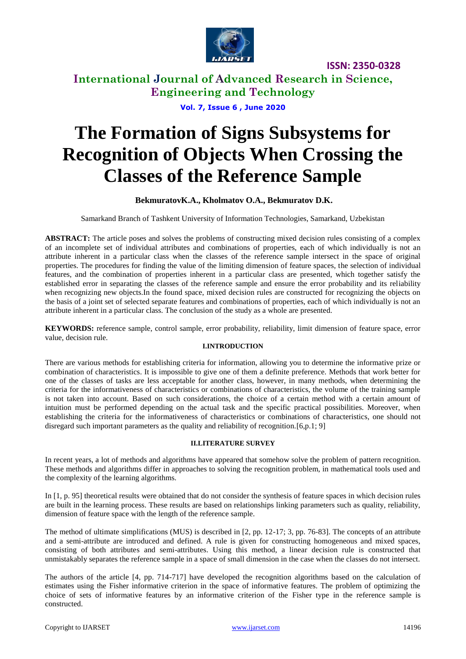

**International Journal of Advanced Research in Science, Engineering and Technology**

**Vol. 7, Issue 6 , June 2020**

# **The Formation of Signs Subsystems for Recognition of Objects When Crossing the Classes of the Reference Sample**

#### **BekmuratovK.A., Kholmatov O.A., Bekmuratov D.K.**

Samarkand Branch of Tashkent University of Information Technologies, Samarkand, Uzbekistan

**ABSTRACT:** The article poses and solves the problems of constructing mixed decision rules consisting of a complex of an incomplete set of individual attributes and combinations of properties, each of which individually is not an attribute inherent in a particular class when the classes of the reference sample intersect in the space of original properties. The procedures for finding the value of the limiting dimension of feature spaces, the selection of individual features, and the combination of properties inherent in a particular class are presented, which together satisfy the established error in separating the classes of the reference sample and ensure the error probability and its reliability when recognizing new objects.In the found space, mixed decision rules are constructed for recognizing the objects on the basis of a joint set of selected separate features and combinations of properties, each of which individually is not an attribute inherent in a particular class. The conclusion of the study as a whole are presented.

**KEYWORDS:** reference sample, control sample, error probability, reliability, limit dimension of feature space, error value, decision rule.

#### **I.INTRODUCTION**

There are various methods for establishing criteria for information, allowing you to determine the informative prize or combination of characteristics. It is impossible to give one of them a definite preference. Methods that work better for one of the classes of tasks are less acceptable for another class, however, in many methods, when determining the criteria for the informativeness of characteristics or combinations of characteristics, the volume of the training sample is not taken into account. Based on such considerations, the choice of a certain method with a certain amount of intuition must be performed depending on the actual task and the specific practical possibilities. Moreover, when establishing the criteria for the informativeness of characteristics or combinations of characteristics, one should not disregard such important parameters as the quality and reliability of recognition.[6,p.1; 9]

#### **II.LITERATURE SURVEY**

In recent years, a lot of methods and algorithms have appeared that somehow solve the problem of pattern recognition. These methods and algorithms differ in approaches to solving the recognition problem, in mathematical tools used and the complexity of the learning algorithms.

In [1, p. 95] theoretical results were obtained that do not consider the synthesis of feature spaces in which decision rules are built in the learning process. These results are based on relationships linking parameters such as quality, reliability, dimension of feature space with the length of the reference sample.

The method of ultimate simplifications (MUS) is described in [2, pp. 12-17; 3, pp. 76-83]. The concepts of an attribute and a semi-attribute are introduced and defined. A rule is given for constructing homogeneous and mixed spaces, consisting of both attributes and semi-attributes. Using this method, a linear decision rule is constructed that unmistakably separates the reference sample in a space of small dimension in the case when the classes do not intersect.

The authors of the article [4, pp. 714-717] have developed the recognition algorithms based on the calculation of estimates using the Fisher informative criterion in the space of informative features. The problem of optimizing the choice of sets of informative features by an informative criterion of the Fisher type in the reference sample is constructed.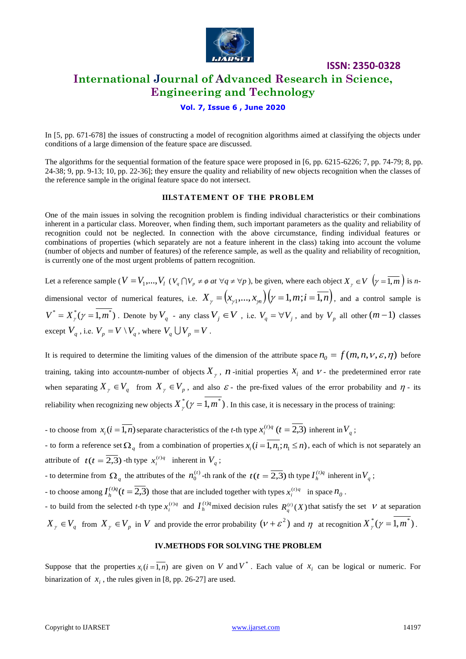

## **International Journal of Advanced Research in Science, Engineering and Technology**

**ISSN: 2350-0328**

#### **Vol. 7, Issue 6 , June 2020**

In [5, pp. 671-678] the issues of constructing a model of recognition algorithms aimed at classifying the objects under conditions of a large dimension of the feature space are discussed.

The algorithms for the sequential formation of the feature space were proposed in [6, pp. 6215-6226; 7, pp. 74-79; 8, pp. 24-38; 9, pp. 9-13; 10, pp. 22-36]; they ensure the quality and reliability of new objects recognition when the classes of the reference sample in the original feature space do not intersect.

#### **III.STATEMENT OF THE PROBLEM**

One of the main issues in solving the recognition problem is finding individual characteristics or their combinations inherent in a particular class. Moreover, when finding them, such important parameters as the quality and reliability of recognition could not be neglected. In connection with the above circumstance, finding individual features or combinations of properties (which separately are not a feature inherent in the class) taking into account the volume (number of objects and number of features) of the reference sample, as well as the quality and reliability of recognition, is currently one of the most urgent problems of pattern recognition.

Let a reference sample (  $V = V_1,...,V_l$  ( $V_q \cap V_p \neq \emptyset$  at  $\forall q \neq \forall p$  ), be given, where each object  $X_\gamma \in V$   $\left(\gamma = \overline{1,m}\right)$  is ndimensional vector of numerical features, i.e.  $X_{\gamma} = (x_{\gamma 1},...,x_{\gamma n})(\gamma = 1, m; i = 1, n)$ , and a control sample is  $V^* = X^*_{\gamma}(\gamma = 1, m^*)$ . Denote by  $V_q$  - any class  $V_j \in V$ , i.e.  $V_q = \forall V_j$ , and by  $V_p$  all other  $(m-1)$  classes except  $V_q$ , i.e.  $V_p = V \setminus V_q$ , where  $V_q \cup V_p = V$ .

It is required to determine the limiting values of the dimension of the attribute space  $n_0 = f(m, n, v, \varepsilon, \eta)$  before training, taking into accountm-number of objects  $X_{\gamma}$ ,  $n$ -initial properties  $x_i$  and  $\nu$ - the predetermined error rate when separating  $X_{\gamma} \in V_q$  from  $X_{\gamma} \in V_p$ , and also  $\varepsilon$ - the pre-fixed values of the error probability and  $\eta$ - its reliability when recognizing new objects  $X^*_{\gamma}(\gamma=1,m^*)$  . In this case, it is necessary in the process of training:

- to choose from  $x_i$  ( $i = \overline{1,n}$ ) separate characteristics of the *t*-th type  $x_i^{(t)q}$  ( $t = \overline{2,3}$ )  $i_i^{(t)q}$  (*t* = 2,3) inherent in  $V_q$ ;

- to form a reference set  $\Omega_q$  from a combination of properties  $x_i$  ( $i = \overline{1, n_1}$ ;  $n_1 \le n$ ), each of which is not separately an attribute of  $t(t = \overline{2,3})$  -th type  $x_i^{(t)q}$  inherent in  $V_q$ ;

- to determine from  $\Omega_q$  the attributes of the  $n_0^{(t)}$  $\mathbf{0}$  $n_0^{(t)}$ -th rank of the  $t(t = \overline{2,3})$  th type  $I_h^{(t)q}$  $I_h^{(t)q}$  inherent in  $V_q$ ;

- to choose among  $I_h^{(t)q}(t = 2,3)$  $h_h^{(t)q}(t=2,3)$  those that are included together with types  $x_i^{(t)q}$  in space  $n_0$ .

- to build from the selected *t*-th type  $x_i^{(t)q}$  and  $I_h^{(t)q}$  $I_h^{(t)q}$  mixed decision rules  $R_q^{(t)}(X)$  that satisfy the set V at separation  $X_{\gamma} \in V_q$  from  $X_{\gamma} \in V_p$  in *V* and provide the error probability  $(\nu + \varepsilon^2)$  and  $\eta$  at recognition  $X_{\gamma}^*(\gamma = 1, m^*)$ .

#### **IV.METHODS FOR SOLVING THE PROBLEM**

Suppose that the properties  $x_i$  ( $i = \overline{1,n}$ ) are given on V and V<sup>\*</sup>. Each value of  $x_i$  can be logical or numeric. For binarization of  $x_i$ , the rules given in [8, pp. 26-27] are used.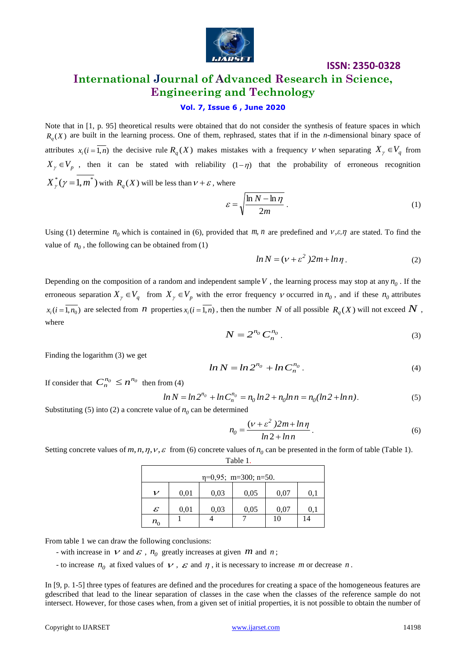

## **International Journal of Advanced Research in Science, Engineering and Technology**

#### **Vol. 7, Issue 6 , June 2020**

Note that in [1, p. 95] theoretical results were obtained that do not consider the synthesis of feature spaces in which  $R_q(X)$  are built in the learning process. One of them, rephrased, states that if in the *n*-dimensional binary space of attributes  $x_i$  ( $i = \overline{1,n}$ ) the decisive rule  $R_q$  (X) makes mistakes with a frequency  $V$  when separating  $X_\gamma \in V_q$  from  $X_{\gamma} \in V_p$ , then it can be stated with reliability  $(1-\eta)$  that the probability of erroneous recognition  $X^*_{\gamma}(\gamma=1, m^*)$  with  $R_q(X)$  will be less than  $\nu + \varepsilon$ , where

$$
\varepsilon = \sqrt{\frac{\ln N - \ln \eta}{2m}}.
$$
\n(1)

Using (1) determine  $n_0$  which is contained in (6), provided that m, n are predefined and  $v, \varepsilon, \eta$  are stated. To find the value of  $n_0$ , the following can be obtained from  $(1)$ 

$$
ln N = (v + \varepsilon^2) 2m + ln \eta.
$$
 (2)

Depending on the composition of a random and independent sample  $V$ , the learning process may stop at any  $n_0$ . If the erroneous separation  $X_{\gamma} \in V_q$  from  $X_{\gamma} \in V_p$  with the error frequency  $\nu$  occurred in  $n_0$ , and if these  $n_0$  attributes  $x_i (i = \overline{1, n_0})$  are selected from *n* properties  $x_i (i = \overline{1, n})$ , then the number *N* of all possible  $R_q(X)$  will not exceed  $N$ , where

$$
N = 2^{n_0} C_n^{n_0} \tag{3}
$$

Finding the logarithm (3) we get

$$
ln N = ln 2^{n_0} + ln C_n^{n_0}.
$$
 (4)

If consider that  $C_n^{n_0} \leq n^{n_0}$  then from (4)

$$
\ln N = \ln 2^{n_0} + \ln C_n^{n_0} = n_0 \ln 2 + n_0 \ln n = n_0 (\ln 2 + \ln n). \tag{5}
$$

Substituting (5) into (2) a concrete value of  $n_0$  can be determined

$$
n_0 = \frac{(\nu + \varepsilon^2)2m + ln\eta}{ln 2 + ln n}.
$$
 (6)

Setting concrete values of  $m, n, \eta, \nu, \varepsilon$  from (6) concrete values of  $n_0$  can be presented in the form of table (Table 1).

Table 1.

| $\eta=0.95$ ; m=300; n=50. |      |      |      |      |     |
|----------------------------|------|------|------|------|-----|
| 11                         | 0,01 | 0,03 | 0,05 | 0,07 | O.I |
| $\mathcal E$               | 0,01 | 0,03 | 0,05 | 0,07 |     |
| $n_{\rm o}$                |      |      |      | 10   | 14  |

From table 1 we can draw the following conclusions:

- with increase in  $V$  and  $\epsilon$ ,  $n_0$  greatly increases at given  $m$  and  $n$ ;

- to increase  $n_0$  at fixed values of  $\vee$ ,  $\varepsilon$  and  $\eta$ , it is necessary to increase m or decrease n.

In [9, p. 1-5] three types of features are defined and the procedures for creating a space of the homogeneous features are gdescribed that lead to the linear separation of classes in the case when the classes of the reference sample do not intersect. However, for those cases when, from a given set of initial properties, it is not possible to obtain the number of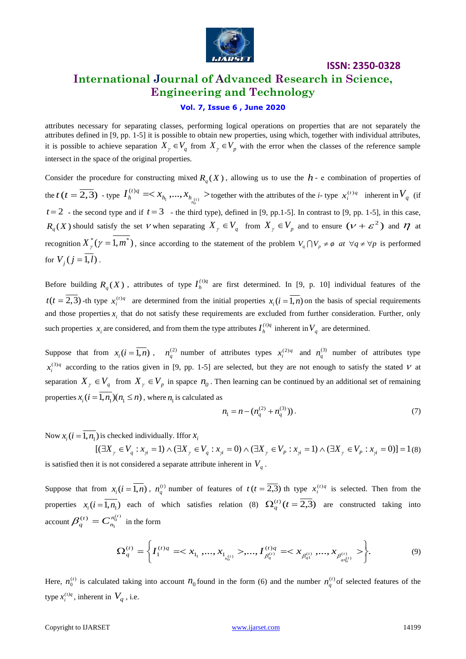

## **ISSN: 2350-0328 International Journal of Advanced Research in Science, Engineering and Technology**

#### **Vol. 7, Issue 6 , June 2020**

attributes necessary for separating classes, performing logical operations on properties that are not separately the attributes defined in [9, pp. 1-5] it is possible to obtain new properties, using which, together with individual attributes, it is possible to achieve separation  $X_{\gamma} \in V_q$  from  $X_{\gamma} \in V_p$  with the error when the classes of the reference sample intersect in the space of the original properties.

Consider the procedure for constructing mixed  $R_q(X)$ , allowing us to use the  $h$ - e combination of properties of the *t* (*t* =  $\overline{2,3}$ ) - type  $I_h^{(t)q}$  =  $\langle x_{h_1},...,x_{h_{(t)}} \rangle$  $h_1$ ,  $\cdots$ ,  $\cdots$ ,  $h_{h_0^{(1)}}$ *t q*  $I_h^{(t)q}$  =  $\langle x_{h_1},...,x_{h_{(t)}} \rangle$  together with the attributes of the *i*- type  $x_i^{(t)q}$  inherent in  $V_q$  (if  $t = 2$  - the second type and if  $t = 3$  - the third type), defined in [9, pp. 1-5]. In contrast to [9, pp. 1-5], in this case,  $R_q(X)$  should satisfy the set V when separating  $X_\gamma \in V_q$  from  $X_\gamma \in V_p$  and to ensure  $(\nu + \varepsilon^2)$  and  $\eta$  at recognition  $X^*_\gamma(\gamma = 1, m^*)$ , since according to the statement of the problem  $V_q \cap V_p \neq \emptyset$  at  $\forall q \neq \forall p$  is performed for  $V_j$  (*j* = 1,*l*).

Before building  $R_q(X)$ , attributes of type  $I_h^{(t)q}$  $I_h^{(t)q}$  are first determined. In [9, p. 10] individual features of the  $t(t = 2, 3)$ -th type  $x_i^{(t)q}$  are determined from the initial properties  $x_i(i = \overline{1,n})$  on the basis of special requirements and those properties  $x_i$  that do not satisfy these requirements are excluded from further consideration. Further, only such properties  $x_i$  are considered, and from them the type attributes  $I_h^{(t)q}$  $I_h^{(t)q}$  inherent in  $V_q$  are determined.

Suppose that from  $x_i(i = \overline{1,n})$ ,  $n_q^{(2)}$  number of attributes types  $x_i^{(2)q}$  and  $n_q^{(3)}$  number of attributes type  $x_i^{(3)q}$  according to the ratios given in [9, pp. 1-5] are selected, but they are not enough to satisfy the stated V at separation  $X_{\gamma} \in V_q$  from  $X_{\gamma} \in V_p$  in spapce  $n_0$ . Then learning can be continued by an additional set of remaining properties  $x_i$  ( $i = 1, n_1$ )( $n_1 \le n$ ), where  $n_1$  is calculated as

$$
n_1 = n - (n_q^{(2)} + n_q^{(3)})). \tag{7}
$$

Now  $x_i$  ( $i = \overline{1, n_1}$ ) is checked individually. If for  $x_i$ 

 $[(\exists X_y \in V_q : x_{i} = 1) \land (\exists X_y \in V_q : x_{i} = 0) \land (\exists X_y \in V_p : x_{i} = 1) \land (\exists X_x \in V_p : x_{i} = 0)] = 1$ (8) is satisfied then it is not considered a separate attribute inherent in *Vq* .

Suppose that from  $x_i$  ( $i = \overline{1,n}$ ),  $n_q^{(t)}$  number of features of  $t (t = \overline{2,3})$  th type  $x_i^{(t)}$  is selected. Then from the properties  $x_i (i = \overline{1, n_1})$  each of which satisfies relation (8)  $\Omega_q^{(t)} (t = \overline{2,3})$  $q^{(t)}(t=2,3)$  are constructed taking into account  $\beta_a^{(t)} = C_n^{n_0^{(t)}}$  $\overline{1}$  $(t)$  —  $C^{n_0^{(t)}}$ *n*  $\beta_q^{(t)} = C_{n_1}^{n_0^{(t)}}$  in the form

$$
\Omega_q^{(t)} = \left\{ I_1^{(t)q} = \langle x_{1_1}, \dots, x_{1_{n_0^{(t)}}} \rangle, \dots, I_{\beta_q^{(t)}}^{(t)q} = \langle x_{\beta_q^{(t)}}, \dots, x_{\beta_{q_n^{(t)}}^{(t)}} \rangle \right\}.
$$
\n(9)

Here,  $n_0^{(t)}$  is calculated taking into account  $n_0$  found in the form (6) and the number  $n_q^{(t)}$  of selected features of the type  $x_i^{(t)q}$ , inherent in  $V_q$ , i.e.

#### Copyright to IJARSET and the control of the control [www.ijarset.com](http://www.ijarset.com/) and the control of the control of the control of the control of the control of the control of the control of the control of the control of the control of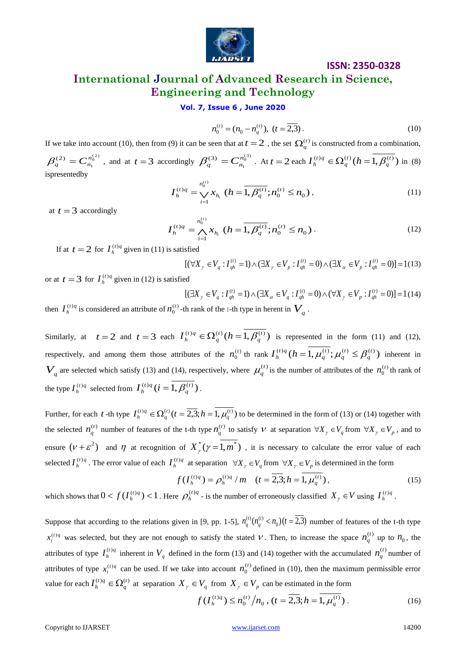

## **ISSN: 2350-0328 International Journal of Advanced Research in Science, Engineering and Technology**

#### **Vol. 7, Issue 6 , June 2020**

$$
n_0^{(t)} = (n_0 - n_q^{(t)}), \ (t = \overline{2,3}).
$$
\n(10)

If we take into account (10), then from (9) it can be seen that at  $t = 2$ , the set  $\Omega_q^{(t)}$  is constructed from a combination,

 $^{(2)}_{0}$ 1  $\beta_q^{(2)} = C_{n_1}^{n_0^{(2)}}$ , and at  $t = 3$  accordingly  $\beta_q^{(3)} = C_{n_1}^{n_0^{(3)}}$ <sup>'</sup>  $\beta_q^{(3)} = C_{n_1}^{n_0^{(3)}}$ . At  $t = 2$  each  $I_h^{(t)q} \in \Omega_q^{(t)}$   $(h = \overline{1, \beta_q^{(t)}})$ *q t q*  $I_h^{(t)q} \in \Omega_q^{(t)}$   $(h = 1, \beta_q^{(t)})$  in (8) ispresentedby

$$
I_h^{(t)q} = \bigvee_{i=1}^{n_0^{(t)}} x_{h_i} \ (h = \overline{1, \beta_q^{(t)}}; n_0^{(t)} \le n_0), \tag{11}
$$

at  $t = 3$  accordingly

$$
I_h^{(t)q} = \bigwedge_{i=1}^{n_0^{(t)}} x_{h_i} \ (h = \overline{1, \beta_q^{(t)}}; n_0^{(t)} \le n_0).
$$
 (12)

If at  $t = 2$  for  $I_h^{(t)q}$  $I_h^{(t)q}$  given in (11) is satisfied

$$
[(\forall X_{\gamma} \in V_q : I_{qh}^{(t)} = 1) \land (\exists X_{\gamma} \in V_p : I_{qh}^{(t)} = 0) \land (\exists X_{\alpha} \in V_p : I_{qh}^{(t)} = 0)] = 1(13)
$$

or at  $t = 3$  for  $I_h^{(t)q}$  $I_h^{(t)q}$  given in (12) is satisfied

$$
[(\exists X_{\gamma} \in V_q : I_{qh}^{(t)} = 1) \land (\exists X_{\alpha} \in V_q : I_{qh}^{(t)} = 0) \land (\forall X_{\gamma} \in V_p : I_{qh}^{(t)} = 0)] = 1 (14)
$$

then  $I_h^{(t)q}$  $I_h^{(t)q}$  is considered an attribute of  $n_0^{(t)}$ 0  $n_0^{(t)}$  -th rank of the *t*-th type in herent in  $V_q$ .

Similarly, at  $t=2$  and  $t=3$  each  $I_h^{(t)q} \in \Omega_q^{(t)}(h=1, \beta_q^{(t)})$ *q t q*  $I_h^{(t)q} \in \Omega_q^{(t)}$   $(h = 1, \beta_q^{(t)})$  is represented in the form (11) and (12), respectively, and among them those attributes of the  $n_0^{(t)}$  $\mathbf{0}$  $n_0^{(t)}$  th rank  $I_h^{(t)q}$   $(h = 1, \mu_a^{(t)}; \mu_a^{(t)} \leq \beta_a^{(t)}$ *q t q t q*  $I_h^{(t)q}$   $(h = 1, \mu_q^{(t)}; \mu_q^{(t)} \leq \beta_q^{(t)} )$  inherent in  $V_q$  are selected which satisfy (13) and (14), respectively, where  $\mu_q^{(t)}$  is the number of attributes of the  $n_0^{(t)}$  $\mathbf{0}$  $n_0^{(t)}$  th rank of the type  $I_h^{(t)q}$  $I_h^{(t)q}$  selected from  $I_h^{(t)q}$   $(i = 1, \beta_q^{(t)})$ *q t q*  $I_h^{(t)q}$  ( $i = 1, \beta_q^{(t)}$ ).

Further, for each t -th type  $I_h^{(t)} q \in \Omega_q^{(t)}$   $(t = \overline{2,3}; h = 1, \mu_q^{(t)})$  to be determined in the form of (13) or (14) together with the selected  $n_q^{(t)}$  number of features of the t-th type  $n_q^{(t)}$  to satisfy V at separation  $\forall X_\gamma \in V_q$  from  $\forall X_\gamma \in V_p$ , and to ensure  $(\nu + \varepsilon^2)$  and  $\eta$  at recognition of  $X^*_{\gamma}(\gamma = 1, m^*)$ , it is necessary to calculate the error value of each selected  $I_h^{(t)q}$  $I_h^{(t)q}$ . The error value of each  $I_h^{(t)q}$  $I_h^{(t)q}$  at separation  $\forall X_\gamma \in V_q$  from  $\forall X_\gamma \in V_p$  is determined in the form

$$
f(I_h^{(t)q}) = \rho_h^{(t)q} / m \quad (t = \overline{2,3}; h = 1, \mu_q^{(t)}),
$$
\n(15)

which shows that  $0 < f(I_h^{(t)q}) < 1$  $f(I_h^{(t)q}) < 1$ . Here  $\rho_h^{(t)q}$ *h*  $\rho_h^{(t)q}$  - is the number of erroneously classified  $X_\gamma \in V$  using  $I_h^{(t)q}$  $I_h^{(t)q}$ .

If we take into account (10), then form (1) is various to  $R_0^{(2)} = (R_0 - R_0^{(2)})$  (3).  $\Delta E_0^{(2)} = C_0^{(2)}$ ,  $\Delta E_1^{(2)} = C_0^{(2)}$ ,  $\Delta E_2^{(2)} = C_0^{(2)}$ ,  $\Delta E_3^{(2)} = C_0^{(2)}$ ,  $\Delta E_4^{(2)} = C_0^{(2)}$ ,  $\Delta E_5^{(2)} = C_0^{(2)}$ ,  $\Delta E_6^{(2$ Suppose that according to the relations given in [9, pp. 1-5],  $n_q^{(1)}(n_q^{(1)} < n_0)$  ( $t = 2,3$ )  $n_a^{(t)}(n_a^{(t)} < n_a)$   $(t =$ *q t*  $g_q^{(t)}(n_q^{(t)} < n_0)$  ( $t = 2,3$ ) number of features of the t-th type  $x_i^{(t)q}$  was selected, but they are not enough to satisfy the stated V. Then, to increase the space  $n_q^{(t)}$  up to  $n_0$ , the attributes of type  $I_h^{(t)q}$  $I_h^{(t)q}$  inherent in  $V_q$  defined in the form (13) and (14) together with the accumulated  $n_q^{(t)}$  number of attributes of type  $x_i^{(t)q}$  can be used. If we take into account  $n_0^{(t)}$  $\mathbf{0}$  $n_0^{(t)}$  defined in (10), then the maximum permissible error value for each  $I_h^{(t)q} \in \Omega_a^{(t)}$ *q t q*  $I_h^{(t)q} \in \Omega_q^{(t)}$  at separation  $X_\gamma \in V_q$  from  $X_\gamma \in V_p$  can be estimated in the form

$$
f(I_h^{(t)q}) \le n_0^{(t)} / n_0, (t = \overline{2,3}; h = \overline{1, \mu_q^{(t)}}).
$$
 (16)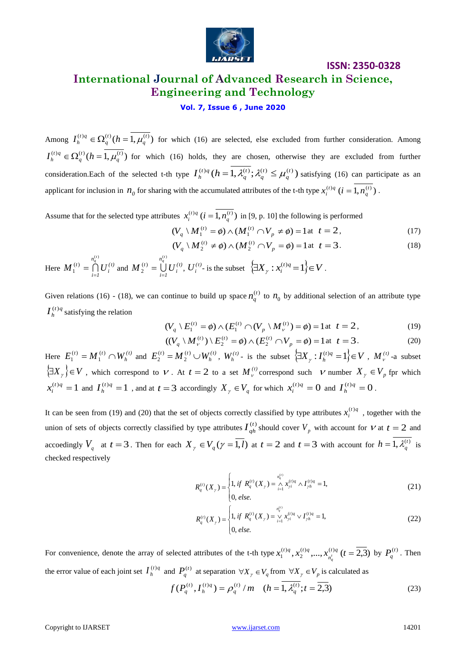

## **International Journal of Advanced Research in Science, Engineering and Technology**

#### **Vol. 7, Issue 6 , June 2020**

Among  $I_h^{(t)q} \in \Omega_a^{(t)}(h=1, \mu_a^{(t)})$ *q t q*  $I_h^{(t)q} \in \Omega_q^{(t)}$   $(h = 1, \mu_q^{(t)})$  for which (16) are selected, else excluded from further consideration. Among  $\Omega_h^{(t)q} \in \Omega_a^{(t)}(h=1, \mu_a^{(t)})$ *q t q*  $I_h^{(t)q} \in \Omega_q^{(t)}$  ( $h = 1, \mu_q^{(t)}$ ) for which (16) holds, they are chosen, otherwise they are excluded from further consideration.Each of the selected t-th type  $I_h^{(t)q}$   $(h = 1, \lambda_a^{(t)}; \lambda_a^{(t)} \leq \mu_a^{(t)}$ *q t q t q*  $I_h^{(t)q}$   $(h = 1, \lambda_q^{(t)}; \lambda_q^{(t)} \leq \mu_q^{(t)}$  satisfying (16) can participate as an applicant for inclusion in  $n_0$  for sharing with the accumulated attributes of the t-th type  $x_i^{(t)}$  ( $i = 1, n_q^{(t)}$ ).

Assume that for the selected type attributes  $x_i^{(t)q}$   $(i = 1, n_q^{(t)})$  in [9, p. 10] the following is performed

$$
(V_q \setminus M_1^{(t)} = \phi) \wedge (M_1^{(t)} \cap V_p \neq \phi) = 1 \text{ at } t = 2,
$$
 (17)

$$
(V_q \setminus M_2^{(t)} \neq \phi) \wedge (M_2^{(t)} \cap V_p = \phi) = 1 \text{ at } t = 3.
$$
 (18)

Here  $M_1^{(t)} = \bigcap U_i^{(t)}$ *i n*  $M_1^{(t)} = \bigcap_{i=1}^{t} U$ *t q* ( )  $(t)$  $\sum_{i=1}^{(t)} U_i^{(t)}$  and  $M_2^{(t)} = \bigcup_{i=1}^{t} U_i^{(t)}$ *i n*  $M_{2}^{(t)} = \bigcup_{i=1}^{t} U$ *t q* ( )  $(t)$  $\sum_{i=1}^{(t)} U_i^{(t)}$ ,  $U_i^{(t)}$ - is the subset  $\left\{\exists X_\gamma : x_i^{(t)} = 1\right\} \in V$  $\big\{ \gamma : x_i^{(i)q} = 1 \big\} \in V$ .

Given relations (16) - (18), we can continue to build up space  $n_q^{(t)}$  to  $n_0$  by additional selection of an attribute type *t q*  $I_h^{(t)q}$  satisfying the relation

$$
(V_q \setminus E_1^{(t)} = \phi) \wedge (E_1^{(t)} \cap (V_p \setminus M_{\nu}^{(t)}) = \phi) = 1 \text{ at } t = 2,
$$
 (19)

$$
((V_q \setminus M_{\nu}^{(t)}) \setminus E_2^{(t)} = \phi) \wedge (E_2^{(t)} \cap V_p = \phi) = 1 \text{ at } t = 3.
$$
 (20)

Here  $E_1^{(t)} = M_1^{(t)} \cap W_h^{(t)}$  $E_1^{(t)} = M_1^{(t)} \cap W_h^{(t)}$ 1  $(t)$  $I_1^{(t)} = M_1^{(t)} \cap W_h^{(t)}$  and  $E_2^{(t)} = M_2^{(t)} \cup W_h^{(t)}$  $E_2^{(t)} = M_2^{(t)} \cup W_h^{(t)}$ 2  $(t)$  $\{Y_{2}^{(t)} = M_{2}^{(t)} \cup W_{h}^{(t)}, W_{h}^{(t)}\}$  is the subset  $\{\exists X_{\gamma}: I_{h}^{(t)q} = 1\} \in V$  $\left\{ \gamma : I_h^{(t)q} = 1 \right\} \in V$ ,  $M_{V}^{(t)}$ -a subset  $\left\{\exists X_{\gamma}\right\} \in V$ , which correspond to V. At  $t = 2$  to a set  $M_{\nu}^{(t)}$  correspond such V number  $X_{\gamma} \in V_{p}$  fpr which  $i^{(t)q} = 1$  $x_i^{(t)q} = 1$  and  $I_h^{(t)q} = 1$  $I_h^{(t)q} = 1$ , and at  $t = 3$  accordingly  $X_\gamma \in V_q$  for which  $x_i^{(t)q} = 0$  $x_i^{(t)q} = 0$  and  $I_h^{(t)q} = 0$  $I_h^{(t)q} = 0$ .

It can be seen from (19) and (20) that the set of objects correctly classified by type attributes  $x_i^{(t)q}$  $x_i^{(t)q}$ , together with the union of sets of objects correctly classified by type attributes  $I_{qh}^{(t)}$  should cover  $V_p$  with account for  $V$  at  $t = 2$  and accoedingly  $V_q$  at  $t = 3$ . Then for each  $X_\gamma \in V_q(\gamma = 1, l)$  at  $t = 2$  and  $t = 3$  with account for  $h = 1, \lambda_q^{(t)}$  is checked respectively

$$
R_q^{(t)}(X_\gamma) = \begin{cases} 1, & \text{if } R_q^{(t)}(X_\gamma) = \bigwedge_{i=1}^{n_q^{(t)}} x_{\gamma i}^{(t)q} \wedge I_{\gamma h}^{(t)q} = 1, \\ 0, & \text{else.} \end{cases} \tag{21}
$$

$$
R_q^{(t)}(X_\gamma) = \begin{cases} 1, & \text{if } R_q^{(t)}(X_\gamma) = \bigvee_{i=1}^{n_q^{(t)}} x_{\gamma i}^{(t)q} \vee I_{\gamma h}^{(t)q} = 1, \\ 0, & \text{else.} \end{cases} \tag{22}
$$

For convenience, denote the array of selected attributes of the t-th type  $x_1^{(t)q}, x_2^{(t)q},..., x_{r}^{(t)q}$   $(t = \overline{2,3})$ 2  $x_1^{(t)q}, x_2^{(t)q},..., x_{n'}^{(t)q}$  (t = *n*  $t^{1/q}$ ,  $x_2^{(t)q}$ ,...,  $x_{n'_q}^{(t)q}$  ( $t = \overline{2,3}$ ) by  $P_q^{(t)}$ . Then the error value of each joint set  $I_h^{(t)q}$  $I_h^{(t)q}$  and  $P_q^{(t)}$  at separation  $\forall X_\gamma \in V_q$  from  $\forall X_\gamma \in V_p$  is calculated as

$$
f(P_q^{(t)}, I_h^{(t)q}) = \rho_q^{(t)} / m \quad (h = \overline{1, \lambda_q^{(t)}}; t = \overline{2, 3})
$$
 (23)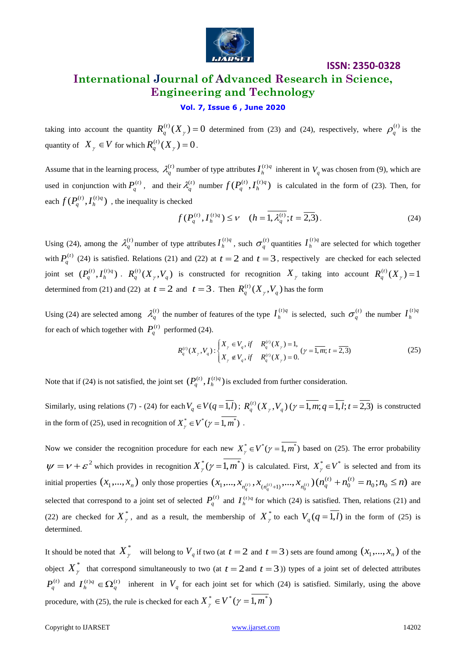

## **ISSN: 2350-0328 International Journal of Advanced Research in Science, Engineering and Technology**

#### **Vol. 7, Issue 6 , June 2020**

taking into account the quantity  $R_q^{(t)}(X_\gamma) = 0$  $q_q^{(t)}(X_\gamma) = 0$  determined from (23) and (24), respectively, where  $\rho_q^{(t)}$  is the quantity of  $X_{\gamma} \in V$  for which  $R_q^{(t)}(X_{\gamma}) = 0$  $q^{\mu\nu}(X_{\gamma})=0$ .

Assume that in the learning process,  $\lambda_q^{(t)}$  number of type attributes  $I_h^{(t)}$  $I_h^{(t)q}$  inherent in  $V_q$  was chosen from (9), which are used in conjunction with  $P_q^{(t)}$ , and their  $\lambda_q^{(t)}$  number  $f(P_q^{(t)}, I_h^{(t)q})$ *h t*  $f(P_q^{(t)}, I_h^{(t)q})$  is calculated in the form of (23). Then, for each  $f(P_a^{(t)}, I_h^{(t)q})$ *h t*  $f(P_q^{(t)}, I_h^{(t)q})$ , the inequality is checked

$$
f(P_q^{(t)}, I_h^{(t)q}) \le V \quad (h = \overline{1, \lambda_q^{(t)}}; t = \overline{2,3}).
$$
 (24)

Using (24), among the  $\lambda_q^{(t)}$  number of type attributes  $I_h^{(t)q}$  $I_h^{(t)q}$ , such  $\sigma_q^{(t)}$  quantities  $I_h^{(t)q}$  $I_h^{(t)q}$  are selected for which together with  $P_q^{(t)}$  (24) is satisfied. Relations (21) and (22) at  $t = 2$  and  $t = 3$ , respectively are checked for each selected joint set  $(P_a^{(t)}, I_h^{(t)q})$ *h*  $P_q^{(t)}, I_h^{(t)q})$  .  $R_q^{(t)}(X_\gamma, V_q)$  $R_q^{(t)}(X_\gamma, V_q)$  is constructed for recognition  $X_\gamma$  taking into account  $R_q^{(t)}(X_\gamma) = 1$ *q* determined from (21) and (22) at  $t = 2$  and  $t = 3$ . Then  $R_q^{(t)}(X_\tau, V_a)$  $R_q^{(t)}(X_{\gamma},V_q)$  has the form

Using (24) are selected among  $\lambda_q^{(t)}$  the number of features of the type  $I_h^{(t)q}$  $I_h^{(t)q}$  is selected, such  $\sigma_q^{(t)}$  the number  $I_h^{(t)q}$  $I_h^{(t)}$ for each of which together with  $P_q^{(t)}$  performed (24).

formed (24).  
\n
$$
R_q^{(t)}(X_\gamma, V_q) : \begin{cases} X_\gamma \in V_q, \text{ if } & R_q^{(t)}(X_\gamma) = 1, \\ X_\gamma \notin V_q, \text{ if } & R_q^{(t)}(X_\gamma) = 0. \end{cases} (\gamma = \overline{1, m}; t = \overline{2, 3})
$$
\n(25)

Note that if (24) is not satisfied, the joint set  $(P_a^{(t)}, I_b^{(t)q})$ *h*  $P_q^{(t)}$ ,  $I_h^{(t)q}$  ) is excluded from further consideration.

Similarly, using relations (7) - (24) for each  $V_q \in V(q = 1, l)$ ;  $R_q^{(t)}(X_\gamma, V_q)(\gamma = 1, m; q = 1, l; t = 2, 3)$  $q_q^{(t)}(X_\gamma, V_q)$  ( $\gamma = 1, m; q = 1, l; t = 2, 3$ ) is constructed in the form of (25), used in recognition of  $X^*_{\gamma} \in V^*(\gamma = 1, m^*)$ .

Now we consider the recognition procedure for each new  $X^*_{\gamma} \in V^*(\gamma = 1, m^*)$  based on (25). The error probability  $\psi = \nu + \varepsilon^2$  which provides in recognition  $X^*_{\gamma}(\gamma = 1, m^*)$  is calculated. First,  $X^*_{\gamma} \in V^*$  is selected and from its initial properties  $(x_1,...,x_n)$  only those properties  $(x_1,...,x_{n^{(t)}},x_{(n^{(t)}+1)},...,x_{n^{(t)}})(n_q^{(t)}+n_0^{(t)}=n_0; n_0 \le n)$ 0  $(t)$  $\{ x_1, ..., x_{n^{(t)}_q}, x_{n^{(t)}_q+1)}, ..., x_{n^{(t)}_0} \}$  $(n^{(t)}_q + n^{(t)}_0 = n_0; n_0 \leq n$  $\sum_{n_q^{(t)}} x_{(n_q^{(t)}+1)},...,x_{n_0^{(t)}}) (n_q^{(t)} + n_0^{(t)} = n_0; n_0 \le n)$  are selected that correspond to a joint set of selected  $P_q^{(t)}$  and  $I_h^{(t)q}$  for which (24) is satisfied. Then, relations (21) and (22) are checked for  $X^*_{\gamma}$ , and as a result, the membership of  $X^*_{\gamma}$  to each  $V_q(q = \overline{1, l})$  in the form of (25) is determined.

It should be noted that  $X^*_{\gamma}$  will belong to  $V_q$  if two (at  $t = 2$  and  $t = 3$  ) sets are found among  $(x_1, ..., x_n)$  of the object  $X^*_{\gamma}$  that correspond simultaneously to two (at  $t = 2$  and  $t = 3$ )) types of a joint set of delected attributes  $P_q^{(t)}$  and  $I_h^{(t)q} \in \Omega_q^{(t)}$  inherent in  $V_q$  for each joint set for which (24) is satisfied. Similarly, using the above procedure, with (25), the rule is checked for each  $X^*_{\gamma} \in V^*(\gamma = 1, m^*)$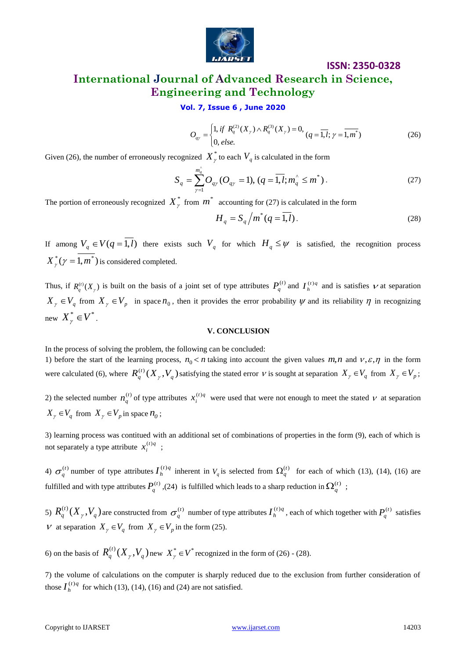

## **International Journal of Advanced Research in Science, Engineering and Technology**

#### **Vol. 7, Issue 6 , June 2020**

$$
O_{q\gamma} = \begin{cases} 1, & \text{if } R_q^{(2)}(X_\gamma) \wedge R_q^{(3)}(X_\gamma) = 0, \\ 0, & \text{else.} \end{cases} \quad (q = \overline{1, l}; \gamma = \overline{1, m^*}) \tag{26}
$$

Given (26), the number of erroneously recognized  $X^*_{\gamma}$  to each  $V_q$  is calculated in the form

$$
S_q = \sum_{\gamma=1}^{m_q^{\hat{a}}} O_{q\gamma} (O_{q\gamma} = 1), (q = \overline{1, l}; m_q^{\hat{a}} \le m^*).
$$
 (27)

The portion of erroneously recognized  $X^*_{\gamma}$  from  $m^*$  accounting for (27) is calculated in the form

$$
H_q = S_q / m^*(q = \overline{1, l}).
$$
\n(28)

If among  $V_q \in V(q=1,l)$  there exists such  $V_q$  for which  $H_q \le \psi$  is satisfied, the recognition process  ${X}^*_{\gamma}(\gamma=1,m^*)$  is considered completed.

Thus, if  $R_q^{(t)}(X_\gamma)$  is built on the basis of a joint set of type attributes  $P_q^{(t)}$  and  $I_h^{(t)q}$  and is satisfies  $\nu$  at separation  $X_{\gamma} \in V_q$  from  $X_{\gamma} \in V_p$  in space  $n_0$ , then it provides the error probability  $\psi$  and its reliability  $\eta$  in recognizing new  $X^*_{\gamma} \in V^*$ .

#### **V. CONCLUSION**

In the process of solving the problem, the following can be concluded:

1) before the start of the learning process,  $n_0 < n$  taking into account the given values  $m, n$  and  $v, \varepsilon, \eta$  in the form were calculated (6), where  $R_a^{(t)}(X_\nu, V_a)$  $R_q^{(t)}(X_\gamma, V_q)$  satisfying the stated error  $V$  is sought at separation  $X_\gamma \in V_q$  from  $X_\gamma \in V_p$ ;

2) the selected number  $n_q^{(t)}$  of type attributes  $x_i^{(t)q}$  $x_i^{(t)q}$  were used that were not enough to meet the stated  $V$  at separation  $X_{\gamma} \in V_q$  from  $X_{\gamma} \in V_p$  in space  $n_0$ ;

3) learning process was contitued with an additional set of combinations of properties in the form (9), each of which is not separately a type attribute  $x_i^{(t)q}$  $x_i^{(t)q}$  ;

4)  $\sigma_q^{(t)}$  number of type attributes  $I_h^{(t)q}$  $I_h^{(t)q}$  inherent in  $V_q$  is selected from  $\Omega_q^{(t)}$  for each of which (13), (14), (16) are fulfilled and with type attributes  $P_q^{(t)}$ , (24) is fulfilled which leads to a sharp reduction in  $\Omega_q^{(t)}$ ;

5)  $R_a^{(t)}(X_v, V_a)$  $R_q^{(t)}(X_{_\gamma},V_{_q})$  are constructed from  $\sigma_q^{(t)}$  number of type attributes  $I_{_h}^{(t)_q}$  $I_h^{(t)q}$ , each of which together with  $P_q^{(t)}$  satisfies V at separation  $X_{\gamma} \in V_q$  from  $X_{\gamma} \in V_p$  in the form (25).

6) on the basis of  $R_a^{(t)}(X_\nu, V_a)$  $R_q^{(t)}(X_\gamma, V_q)$  new  $X_\gamma^* \in V^*$  recognized in the form of (26) - (28).

7) the volume of calculations on the computer is sharply reduced due to the exclusion from further consideration of those  $I_h^{(t)q}$  $I_h^{(t)q}$  for which (13), (14), (16) and (24) are not satisfied.